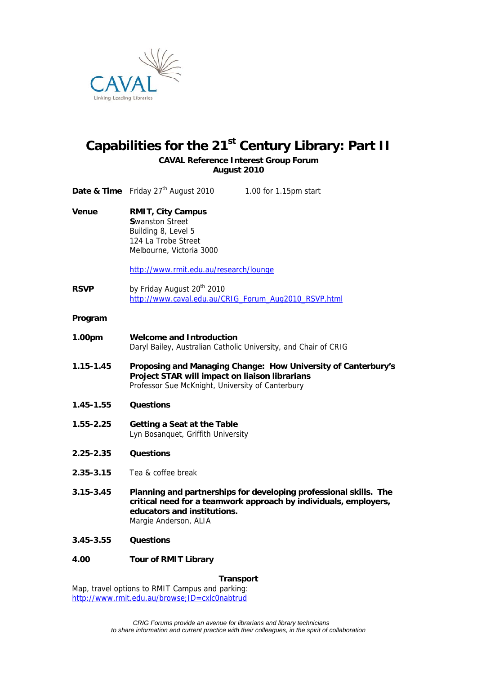

# Capabilities for the 21<sup>st</sup> Century Library: Part II

**CAVAL Reference Interest Group Forum August 2010** 

|               | <b>Date &amp; Time</b> Friday $27th$ August 2010<br>1.00 for 1.15pm start                                                                                                                     |
|---------------|-----------------------------------------------------------------------------------------------------------------------------------------------------------------------------------------------|
| Venue         | <b>RMIT, City Campus</b><br><b>Swanston Street</b><br>Building 8, Level 5<br>124 La Trobe Street<br>Melbourne, Victoria 3000<br>http://www.rmit.edu.au/research/lounge                        |
| <b>RSVP</b>   | by Friday August 20 <sup>th</sup> 2010<br>http://www.caval.edu.au/CRIG_Forum_Aug2010_RSVP.html                                                                                                |
| Program       |                                                                                                                                                                                               |
| 1.00pm        | <b>Welcome and Introduction</b><br>Daryl Bailey, Australian Catholic University, and Chair of CRIG                                                                                            |
| $1.15 - 1.45$ | Proposing and Managing Change: How University of Canterbury's<br>Project STAR will impact on liaison librarians<br>Professor Sue McKnight, University of Canterbury                           |
| $1.45 - 1.55$ | <b>Questions</b>                                                                                                                                                                              |
| $1.55 - 2.25$ | Getting a Seat at the Table<br>Lyn Bosanquet, Griffith University                                                                                                                             |
| 2.25-2.35     | <b>Questions</b>                                                                                                                                                                              |
| 2.35-3.15     | Tea & coffee break                                                                                                                                                                            |
| $3.15 - 3.45$ | Planning and partnerships for developing professional skills. The<br>critical need for a teamwork approach by individuals, employers,<br>educators and institutions.<br>Margie Anderson, ALIA |
| 3.45-3.55     | <b>Questions</b>                                                                                                                                                                              |
| 4.00          | <b>Tour of RMIT Library</b>                                                                                                                                                                   |
|               |                                                                                                                                                                                               |

**Transport** 

Map, travel options to RMIT Campus and parking: http://www.rmit.edu.au/browse;ID=cxlc0nabtrud